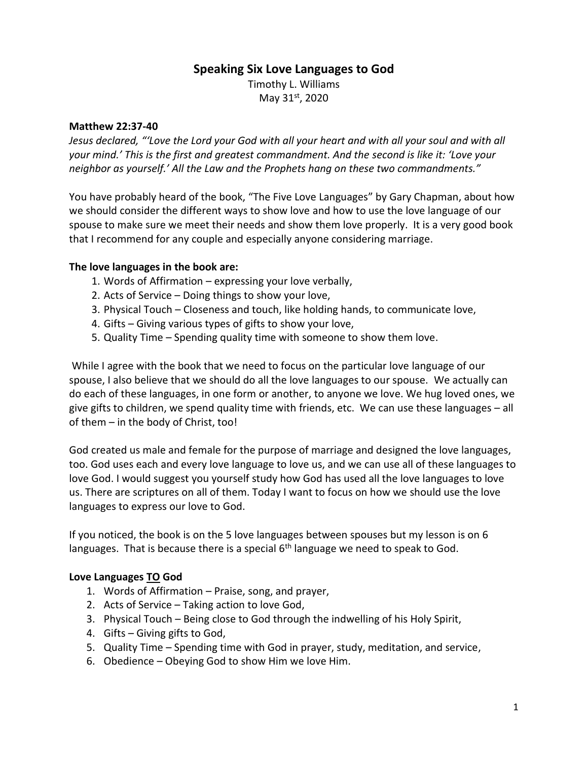# **Speaking Six Love Languages to God**

Timothy L. Williams May 31st, 2020

#### **Matthew 22:37-40**

*Jesus declared, "'Love the Lord your God with all your heart and with all your soul and with all your mind.' This is the first and greatest commandment. And the second is like it: 'Love your neighbor as yourself.' All the Law and the Prophets hang on these two commandments."*

You have probably heard of the book, "The Five Love Languages" by Gary Chapman, about how we should consider the different ways to show love and how to use the love language of our spouse to make sure we meet their needs and show them love properly. It is a very good book that I recommend for any couple and especially anyone considering marriage.

# **The love languages in the book are:**

- 1. Words of Affirmation expressing your love verbally,
- 2. Acts of Service Doing things to show your love,
- 3. Physical Touch Closeness and touch, like holding hands, to communicate love,
- 4. Gifts Giving various types of gifts to show your love,
- 5. Quality Time Spending quality time with someone to show them love.

While I agree with the book that we need to focus on the particular love language of our spouse, I also believe that we should do all the love languages to our spouse. We actually can do each of these languages, in one form or another, to anyone we love. We hug loved ones, we give gifts to children, we spend quality time with friends, etc. We can use these languages – all of them – in the body of Christ, too!

God created us male and female for the purpose of marriage and designed the love languages, too. God uses each and every love language to love us, and we can use all of these languages to love God. I would suggest you yourself study how God has used all the love languages to love us. There are scriptures on all of them. Today I want to focus on how we should use the love languages to express our love to God.

If you noticed, the book is on the 5 love languages between spouses but my lesson is on 6 languages. That is because there is a special 6<sup>th</sup> language we need to speak to God.

#### **Love Languages TO God**

- 1. Words of Affirmation Praise, song, and prayer,
- 2. Acts of Service Taking action to love God,
- 3. Physical Touch Being close to God through the indwelling of his Holy Spirit,
- 4. Gifts Giving gifts to God,
- 5. Quality Time Spending time with God in prayer, study, meditation, and service,
- 6. Obedience Obeying God to show Him we love Him.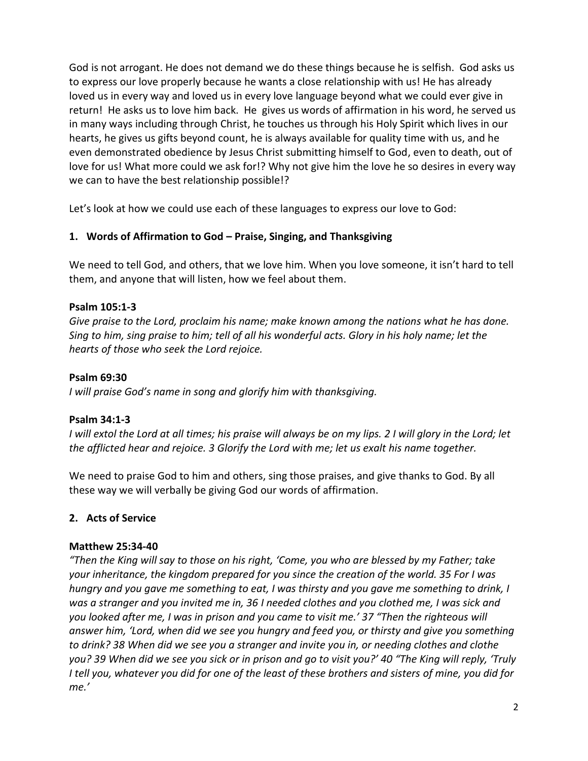God is not arrogant. He does not demand we do these things because he is selfish. God asks us to express our love properly because he wants a close relationship with us! He has already loved us in every way and loved us in every love language beyond what we could ever give in return! He asks us to love him back. He gives us words of affirmation in his word, he served us in many ways including through Christ, he touches us through his Holy Spirit which lives in our hearts, he gives us gifts beyond count, he is always available for quality time with us, and he even demonstrated obedience by Jesus Christ submitting himself to God, even to death, out of love for us! What more could we ask for!? Why not give him the love he so desires in every way we can to have the best relationship possible!?

Let's look at how we could use each of these languages to express our love to God:

# **1. Words of Affirmation to God – Praise, Singing, and Thanksgiving**

We need to tell God, and others, that we love him. When you love someone, it isn't hard to tell them, and anyone that will listen, how we feel about them.

#### **Psalm 105:1-3**

*Give praise to the Lord, proclaim his name; make known among the nations what he has done. Sing to him, sing praise to him; tell of all his wonderful acts. Glory in his holy name; let the hearts of those who seek the Lord rejoice.*

#### **Psalm 69:30**

*I will praise God's name in song and glorify him with thanksgiving.*

# **Psalm 34:1-3**

*I* will extol the Lord at all times; his praise will always be on my lips. 2 I will glory in the Lord; let *the afflicted hear and rejoice. 3 Glorify the Lord with me; let us exalt his name together.*

We need to praise God to him and others, sing those praises, and give thanks to God. By all these way we will verbally be giving God our words of affirmation.

# **2. Acts of Service**

#### **Matthew 25:34-40**

*"Then the King will say to those on his right, 'Come, you who are blessed by my Father; take your inheritance, the kingdom prepared for you since the creation of the world. 35 For I was hungry and you gave me something to eat, I was thirsty and you gave me something to drink, I was a stranger and you invited me in, 36 I needed clothes and you clothed me, I was sick and you looked after me, I was in prison and you came to visit me.' 37 "Then the righteous will answer him, 'Lord, when did we see you hungry and feed you, or thirsty and give you something to drink? 38 When did we see you a stranger and invite you in, or needing clothes and clothe you? 39 When did we see you sick or in prison and go to visit you?' 40 "The King will reply, 'Truly I tell you, whatever you did for one of the least of these brothers and sisters of mine, you did for me.'*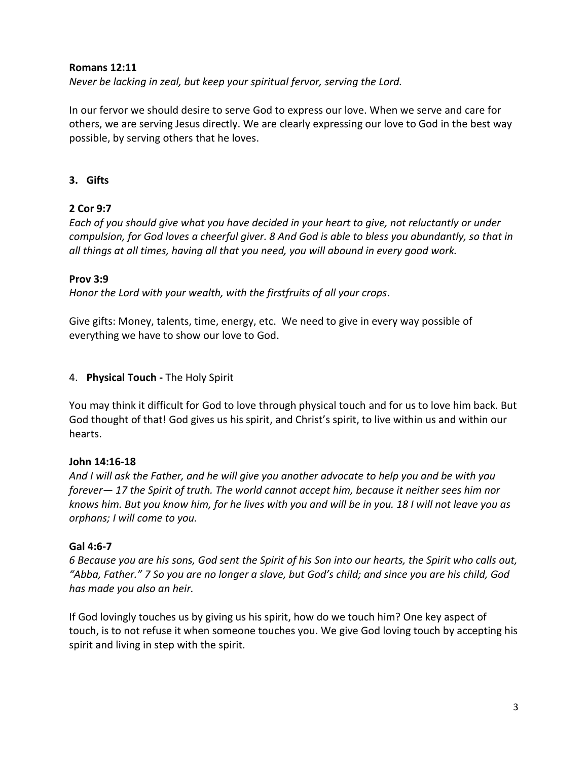#### **Romans 12:11**

*Never be lacking in zeal, but keep your spiritual fervor, serving the Lord.*

In our fervor we should desire to serve God to express our love. When we serve and care for others, we are serving Jesus directly. We are clearly expressing our love to God in the best way possible, by serving others that he loves.

# **3. Gifts**

# **2 Cor 9:7**

*Each of you should give what you have decided in your heart to give, not reluctantly or under compulsion, for God loves a cheerful giver. 8 And God is able to bless you abundantly, so that in all things at all times, having all that you need, you will abound in every good work.*

# **Prov 3:9**

*Honor the Lord with your wealth, with the firstfruits of all your crops*.

Give gifts: Money, talents, time, energy, etc. We need to give in every way possible of everything we have to show our love to God.

#### 4. **Physical Touch -** The Holy Spirit

You may think it difficult for God to love through physical touch and for us to love him back. But God thought of that! God gives us his spirit, and Christ's spirit, to live within us and within our hearts.

# **John 14:16-18**

*And I will ask the Father, and he will give you another advocate to help you and be with you forever— 17 the Spirit of truth. The world cannot accept him, because it neither sees him nor knows him. But you know him, for he lives with you and will be in you. 18 I will not leave you as orphans; I will come to you.*

# **Gal 4:6-7**

*6 Because you are his sons, God sent the Spirit of his Son into our hearts, the Spirit who calls out, "Abba, Father." 7 So you are no longer a slave, but God's child; and since you are his child, God has made you also an heir.*

If God lovingly touches us by giving us his spirit, how do we touch him? One key aspect of touch, is to not refuse it when someone touches you. We give God loving touch by accepting his spirit and living in step with the spirit.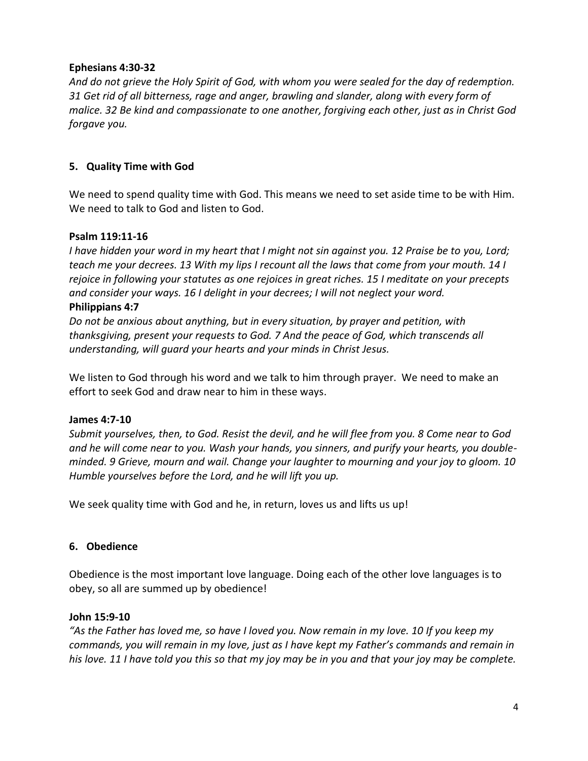#### **Ephesians 4:30-32**

*And do not grieve the Holy Spirit of God, with whom you were sealed for the day of redemption. 31 Get rid of all bitterness, rage and anger, brawling and slander, along with every form of malice. 32 Be kind and compassionate to one another, forgiving each other, just as in Christ God forgave you.*

# **5. Quality Time with God**

We need to spend quality time with God. This means we need to set aside time to be with Him. We need to talk to God and listen to God.

# **Psalm 119:11-16**

*I have hidden your word in my heart that I might not sin against you. 12 Praise be to you, Lord; teach me your decrees. 13 With my lips I recount all the laws that come from your mouth. 14 I rejoice in following your statutes as one rejoices in great riches. 15 I meditate on your precepts and consider your ways. 16 I delight in your decrees; I will not neglect your word.* **Philippians 4:7**

*Do not be anxious about anything, but in every situation, by prayer and petition, with thanksgiving, present your requests to God. 7 And the peace of God, which transcends all understanding, will guard your hearts and your minds in Christ Jesus.*

We listen to God through his word and we talk to him through prayer. We need to make an effort to seek God and draw near to him in these ways.

# **James 4:7-10**

*Submit yourselves, then, to God. Resist the devil, and he will flee from you. 8 Come near to God and he will come near to you. Wash your hands, you sinners, and purify your hearts, you doubleminded. 9 Grieve, mourn and wail. Change your laughter to mourning and your joy to gloom. 10 Humble yourselves before the Lord, and he will lift you up.*

We seek quality time with God and he, in return, loves us and lifts us up!

# **6. Obedience**

Obedience is the most important love language. Doing each of the other love languages is to obey, so all are summed up by obedience!

# **John 15:9-10**

*"As the Father has loved me, so have I loved you. Now remain in my love. 10 If you keep my commands, you will remain in my love, just as I have kept my Father's commands and remain in his love. 11 I have told you this so that my joy may be in you and that your joy may be complete.*